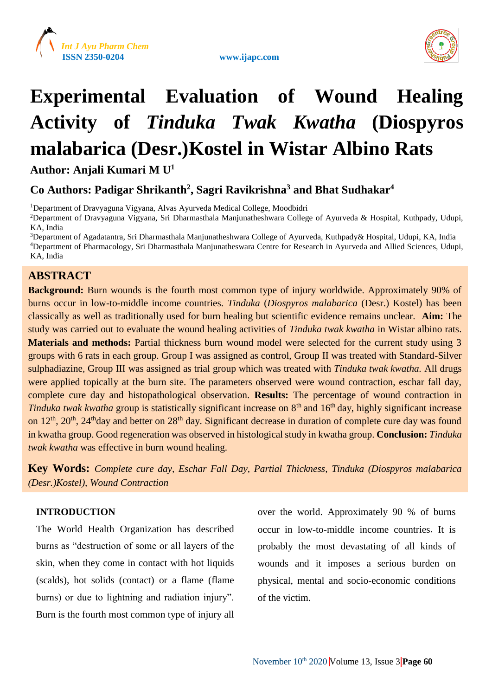

www.ijapc.com



## **Experimental Evaluation of Wound Healing Activity of** *Tinduka Twak Kwatha* **(Diospyros malabarica (Desr.)Kostel in Wistar Albino Rats**

**Author: Anjali Kumari M U<sup>1</sup>**

## **Co Authors: Padigar Shrikanth<sup>2</sup> , Sagri Ravikrishna<sup>3</sup> and Bhat Sudhakar<sup>4</sup>**

<sup>1</sup>Department of Dravyaguna Vigyana, Alvas Ayurveda Medical College, Moodbidri

<sup>2</sup>Department of Dravyaguna Vigyana, Sri Dharmasthala Manjunatheshwara College of Ayurveda & Hospital, Kuthpady, Udupi, KA, India

<sup>3</sup>Department of Agadatantra, Sri Dharmasthala Manjunatheshwara College of Ayurveda, Kuthpady& Hospital, Udupi, KA, India <sup>4</sup>Department of Pharmacology, Sri Dharmasthala Manjunatheswara Centre for Research in Ayurveda and Allied Sciences, Udupi, KA, India

## **ABSTRACT**

**Background:** Burn wounds is the fourth most common type of injury worldwide. Approximately 90% of burns occur in low-to-middle income countries. *Tinduka* (*Diospyros malabarica* (Desr.) Kostel) has been classically as well as traditionally used for burn healing but scientific evidence remains unclear. **Aim:** The study was carried out to evaluate the wound healing activities of *Tinduka twak kwatha* in Wistar albino rats. **Materials and methods:** Partial thickness burn wound model were selected for the current study using 3 groups with 6 rats in each group. Group I was assigned as control, Group II was treated with Standard-Silver sulphadiazine, Group III was assigned as trial group which was treated with *Tinduka twak kwatha.* All drugs were applied topically at the burn site. The parameters observed were wound contraction, eschar fall day, complete cure day and histopathological observation. **Results:** The percentage of wound contraction in *Tinduka twak kwatha* group is statistically significant increase on 8<sup>th</sup> and 16<sup>th</sup> day, highly significant increase on  $12^{th}$ ,  $20^{th}$ ,  $24^{th}$ day and better on  $28^{th}$  day. Significant decrease in duration of complete cure day was found in kwatha group. Good regeneration was observed in histological study in kwatha group. **Conclusion:** *Tinduka twak kwatha* was effective in burn wound healing.

**Key Words:** *Complete cure day, Eschar Fall Day, Partial Thickness, Tinduka (Diospyros malabarica (Desr.)Kostel), Wound Contraction*

## **INTRODUCTION**

The World Health Organization has described burns as "destruction of some or all layers of the skin, when they come in contact with hot liquids (scalds), hot solids (contact) or a flame (flame burns) or due to lightning and radiation injury". Burn is the fourth most common type of injury all over the world. Approximately 90 % of burns occur in low-to-middle income countries. It is probably the most devastating of all kinds of wounds and it imposes a serious burden on physical, mental and socio-economic conditions of the victim.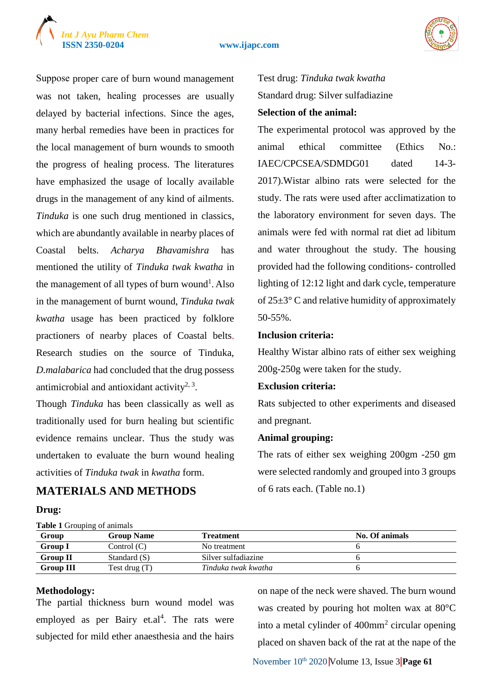## *Int J Ayu Pharm Chem*

#### **ISSN 2350-0204 www.ijapc.com**



Suppose proper care of burn wound management was not taken, healing processes are usually delayed by bacterial infections. Since the ages, many herbal remedies have been in practices for the local management of burn wounds to smooth the progress of healing process. The literatures have emphasized the usage of locally available drugs in the management of any kind of ailments. *Tinduka* is one such drug mentioned in classics, which are abundantly available in nearby places of Coastal belts. *Acharya Bhavamishra* has mentioned the utility of *Tinduka twak kwatha* in the management of all types of burn wound<sup>1</sup>. Also in the management of burnt wound, *Tinduka twak kwatha* usage has been practiced by folklore practioners of nearby places of Coastal belts. Research studies on the source of Tinduka, *D.malabarica* had concluded that the drug possess antimicrobial and antioxidant activity<sup>2, 3</sup>.

Though *Tinduka* has been classically as well as traditionally used for burn healing but scientific evidence remains unclear. Thus the study was undertaken to evaluate the burn wound healing activities of *Tinduka twak* in *kwatha* form.

## **MATERIALS AND METHODS**

#### **Drug:**

**Table 1** Grouping of animals

## Test drug: *Tinduka twak kwatha* Standard drug: Silver sulfadiazine

#### **Selection of the animal:**

The experimental protocol was approved by the animal ethical committee (Ethics No.: IAEC/CPCSEA/SDMDG01 dated 14-3- 2017).Wistar albino rats were selected for the study. The rats were used after acclimatization to the laboratory environment for seven days. The animals were fed with normal rat diet ad libitum and water throughout the study. The housing provided had the following conditions- controlled lighting of 12:12 light and dark cycle, temperature of  $25\pm3$ °C and relative humidity of approximately 50-55%.

#### **Inclusion criteria:**

Healthy Wistar albino rats of either sex weighing 200g-250g were taken for the study.

#### **Exclusion criteria:**

Rats subjected to other experiments and diseased and pregnant.

#### **Animal grouping:**

The rats of either sex weighing 200gm -250 gm were selected randomly and grouped into 3 groups of 6 rats each. (Table no.1)

| <b>Table 1</b> Orouping of all that's |                   |                     |                |  |  |  |
|---------------------------------------|-------------------|---------------------|----------------|--|--|--|
| Group                                 | <b>Group Name</b> | Treatment           | No. Of animals |  |  |  |
| <b>Group I</b>                        | Control $(C)$     | No treatment        |                |  |  |  |
| <b>Group II</b>                       | Standard (S)      | Silver sulfadiazine |                |  |  |  |
| <b>Group III</b>                      | Test drug $(T)$   | Tinduka twak kwatha |                |  |  |  |

#### **Methodology:**

The partial thickness burn wound model was employed as per Bairy et.al<sup>4</sup>. The rats were subjected for mild ether anaesthesia and the hairs

on nape of the neck were shaved. The burn wound was created by pouring hot molten wax at 80°C into a metal cylinder of 400mm<sup>2</sup> circular opening placed on shaven back of the rat at the nape of the

November 10<sup>th</sup> 2020 Volume 13, Issue 3 **Page 61**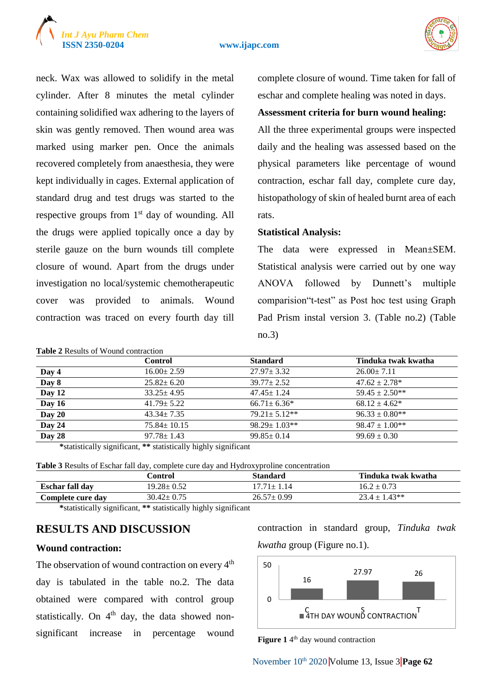

#### **ISSN 2350-0204 www.ijapc.com**



neck. Wax was allowed to solidify in the metal cylinder. After 8 minutes the metal cylinder containing solidified wax adhering to the layers of skin was gently removed. Then wound area was marked using marker pen. Once the animals recovered completely from anaesthesia, they were kept individually in cages. External application of standard drug and test drugs was started to the respective groups from  $1<sup>st</sup>$  day of wounding. All the drugs were applied topically once a day by sterile gauze on the burn wounds till complete closure of wound. Apart from the drugs under investigation no local/systemic chemotherapeutic cover was provided to animals. Wound contraction was traced on every fourth day till

## complete closure of wound. Time taken for fall of eschar and complete healing was noted in days.

#### **Assessment criteria for burn wound healing:**

All the three experimental groups were inspected daily and the healing was assessed based on the physical parameters like percentage of wound contraction, eschar fall day, complete cure day, histopathology of skin of healed burnt area of each rats.

#### **Statistical Analysis:**

The data were expressed in Mean±SEM. Statistical analysis were carried out by one way ANOVA followed by Dunnett's multiple comparision"t-test" as Post hoc test using Graph Pad Prism instal version 3. (Table no.2) (Table no.3)

|        | <b>Control</b>    | <b>Standard</b>    | Tinduka twak kwatha |
|--------|-------------------|--------------------|---------------------|
| Day 4  | $16.00 \pm 2.59$  | $27.97 \pm 3.32$   | $26.00 \pm 7.11$    |
| Day 8  | $25.82 \pm 6.20$  | $39.77 \pm 2.52$   | $47.62 \pm 2.78*$   |
| Day 12 | $33.25 \pm 4.95$  | $47.45 \pm 1.24$   | $59.45 \pm 2.50**$  |
| Day 16 | $41.79 \pm 5.22$  | $66.71 \pm 6.36*$  | $68.12 \pm 4.62^*$  |
| Day 20 | $43.34 \pm 7.35$  | $79.21 \pm 5.12**$ | $96.33 \pm 0.80$ ** |
| Day 24 | $75.84 \pm 10.15$ | $98.29 \pm 1.03**$ | $98.47 \pm 1.00**$  |
| Day 28 | $97.78 \pm 1.43$  | $99.85 \pm 0.14$   | $99.69 \pm 0.30$    |

**\***statistically significant, **\*\*** statistically highly significant

**Table 3** Results of Eschar fall day, complete cure day and Hydroxyproline concentration

|                        | Control          | Standard         | Tinduka twak kwatha |
|------------------------|------------------|------------------|---------------------|
| <b>Eschar fall day</b> | 19.28± 0.52      | 17.71+ 1.14      | $16.2 \pm 0.73$     |
| Complete cure dav      | $30.42 \pm 0.75$ | $26.57 \pm 0.99$ | $23.4 \pm 1.43**$   |

**\***statistically significant, **\*\*** statistically highly significant

## **RESULTS AND DISCUSSION**

**Table 2** Results of Wound contraction

#### **Wound contraction:**

The observation of wound contraction on every 4<sup>th</sup> day is tabulated in the table no.2. The data obtained were compared with control group statistically. On  $4<sup>th</sup>$  day, the data showed nonsignificant increase in percentage wound contraction in standard group, *Tinduka twak kwatha* group (Figure no.1).



Figure 1<sup>4th</sup> day wound contraction

November 10th 2020 Volume 13, Issue 3 **Page 62**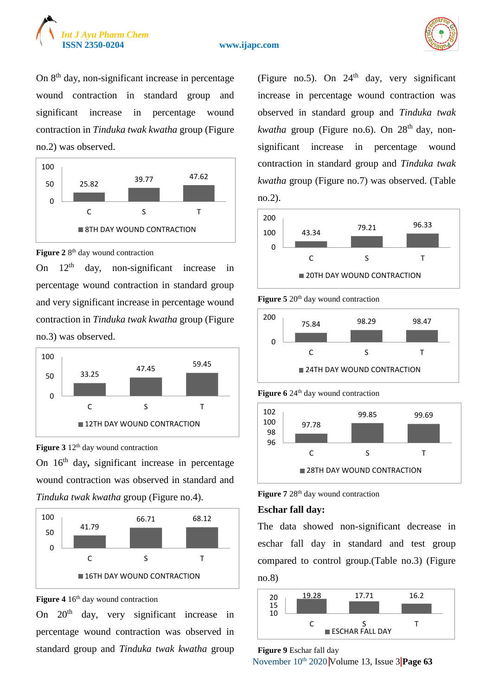





On 8th day, non-significant increase in percentage wound contraction in standard group and significant increase in percentage wound contraction in *Tinduka twak kwatha* group (Figure no.2) was observed.



#### Figure 2 8<sup>th</sup> day wound contraction

On  $12<sup>th</sup>$  day, non-significant increase in percentage wound contraction in standard group and very significant increase in percentage wound contraction in *Tinduka twak kwatha* group (Figure no.3) was observed.



**Figure 3** 12<sup>th</sup> day wound contraction

On 16th day**,** significant increase in percentage wound contraction was observed in standard and *Tinduka twak kwatha* group (Figure no.4).



Figure 4 16<sup>th</sup> day wound contraction

On 20th day, very significant increase in percentage wound contraction was observed in standard group and *Tinduka twak kwatha* group (Figure no.5). On  $24<sup>th</sup>$  day, very significant increase in percentage wound contraction was observed in standard group and *Tinduka twak kwatha* group (Figure no.6). On 28<sup>th</sup> day, nonsignificant increase in percentage wound contraction in standard group and *Tinduka twak kwatha* group (Figure no.7) was observed. (Table no.2).



**Figure 5** 20<sup>th</sup> day wound contraction







**Figure 7** 28<sup>th</sup> day wound contraction

#### **Eschar fall day:**

The data showed non-significant decrease in eschar fall day in standard and test group compared to control group.(Table no.3) (Figure no.8)





November 10<sup>th</sup> 2020 Volume 13, Issue 3 **Page 63**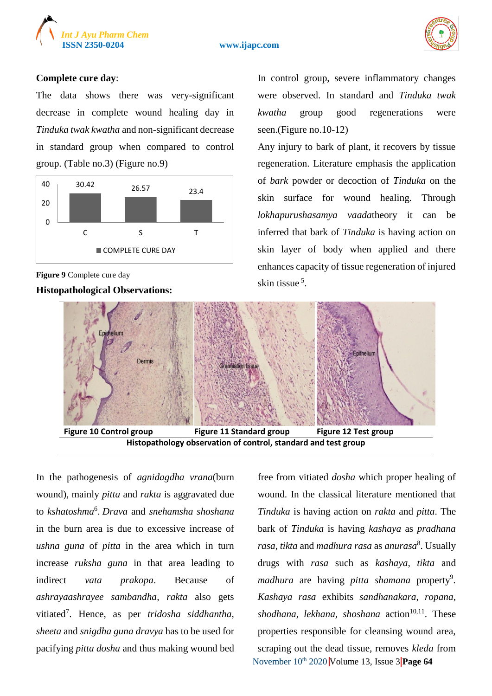

#### **ISSN 2350-0204 www.ijapc.com**



#### **Complete cure day**:

The data shows there was very-significant decrease in complete wound healing day in *Tinduka twak kwatha* and non-significant decrease in standard group when compared to control group. (Table no.3) (Figure no.9)



**Figure 9** Complete cure day

**Histopathological Observations:**

In control group, severe inflammatory changes were observed. In standard and *Tinduka twak kwatha* group good regenerations were seen.(Figure no.10-12)

Any injury to bark of plant, it recovers by tissue regeneration. Literature emphasis the application of *bark* powder or decoction of *Tinduka* on the skin surface for wound healing. Through *lokhapurushasamya vaada*theory it can be inferred that bark of *Tinduka* is having action on skin layer of body when applied and there enhances capacity of tissue regeneration of injured skin tissue<sup>5</sup>.



**Histopathology observation of control, standard and test group**

In the pathogenesis of *agnidagdha vrana*(burn wound), mainly *pitta* and *rakta* is aggravated due to *kshatoshma*<sup>6</sup> . *Drava* and *snehamsha shoshana* in the burn area is due to excessive increase of *ushna guna* of *pitta* in the area which in turn increase *ruksha guna* in that area leading to indirect *vata prakopa*. Because of *ashrayaashrayee sambandha*, *rakta* also gets vitiated<sup>7</sup> . Hence, as per *tridosha siddhantha*, *sheeta* and *snigdha guna dravya* has to be used for pacifying *pitta dosha* and thus making wound bed

November 10<sup>th</sup> 2020 Volume 13, Issue 3 Page 64 free from vitiated *dosha* which proper healing of wound. In the classical literature mentioned that *Tinduka* is having action on *rakta* and *pitta*. The bark of *Tinduka* is having *kashaya* as *pradhana rasa, tikta* and *madhura rasa* as *anurasa*<sup>8</sup> . Usually drugs with *rasa* such as *kashaya, tikta* and madhura are having *pitta shamana* property<sup>9</sup>. *Kashaya rasa* exhibits *sandhanakara*, *ropana, shodhana, lekhana, shoshana* action<sup>10,11</sup>. These properties responsible for cleansing wound area, scraping out the dead tissue, removes *kleda* from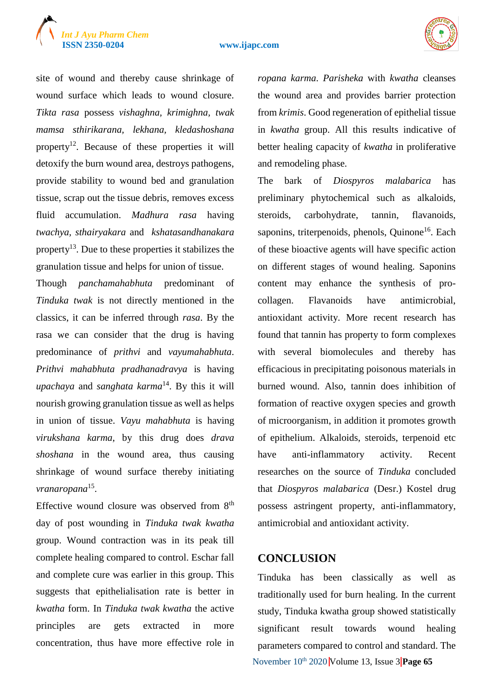# *Int J Ayu Pharm Chem*





site of wound and thereby cause shrinkage of wound surface which leads to wound closure. *Tikta rasa* possess *vishaghna, krimighna, twak mamsa sthirikarana, lekhana, kledashoshana* property<sup>12</sup>. Because of these properties it will detoxify the burn wound area, destroys pathogens, provide stability to wound bed and granulation tissue, scrap out the tissue debris, removes excess fluid accumulation. *Madhura rasa* having *twachya, sthairyakara* and *kshatasandhanakara* property<sup>13</sup>. Due to these properties it stabilizes the granulation tissue and helps for union of tissue.

Though *panchamahabhuta* predominant of *Tinduka twak* is not directly mentioned in the classics, it can be inferred through *rasa*. By the rasa we can consider that the drug is having predominance of *prithvi* and *vayumahabhuta*. *Prithvi mahabhuta pradhanadravya* is having *upachaya* and *sanghata karma*<sup>14</sup>. By this it will nourish growing granulation tissue as well as helps in union of tissue. *Vayu mahabhuta* is having *virukshana karma*, by this drug does *drava shoshana* in the wound area, thus causing shrinkage of wound surface thereby initiating *vranaropana*<sup>15</sup> .

Effective wound closure was observed from 8<sup>th</sup> day of post wounding in *Tinduka twak kwatha* group. Wound contraction was in its peak till complete healing compared to control. Eschar fall and complete cure was earlier in this group. This suggests that epithelialisation rate is better in *kwatha* form. In *Tinduka twak kwatha* the active principles are gets extracted in more concentration, thus have more effective role in *ropana karma*. *Parisheka* with *kwatha* cleanses the wound area and provides barrier protection from *krimis*. Good regeneration of epithelial tissue in *kwatha* group. All this results indicative of better healing capacity of *kwatha* in proliferative and remodeling phase.

The bark of *Diospyros malabarica* has preliminary phytochemical such as alkaloids, steroids, carbohydrate, tannin, flavanoids, saponins, triterpenoids, phenols, Quinone<sup>16</sup>. Each of these bioactive agents will have specific action on different stages of wound healing. Saponins content may enhance the synthesis of procollagen. Flavanoids have antimicrobial, antioxidant activity. More recent research has found that tannin has property to form complexes with several biomolecules and thereby has efficacious in precipitating poisonous materials in burned wound. Also, tannin does inhibition of formation of reactive oxygen species and growth of microorganism, in addition it promotes growth of epithelium. Alkaloids, steroids, terpenoid etc have anti-inflammatory activity. Recent researches on the source of *Tinduka* concluded that *Diospyros malabarica* (Desr.) Kostel drug possess astringent property, anti-inflammatory, antimicrobial and antioxidant activity.

## **CONCLUSION**

November 10<sup>th</sup> 2020 Volume 13, Issue 3 **Page 65** Tinduka has been classically as well as traditionally used for burn healing. In the current study, Tinduka kwatha group showed statistically significant result towards wound healing parameters compared to control and standard. The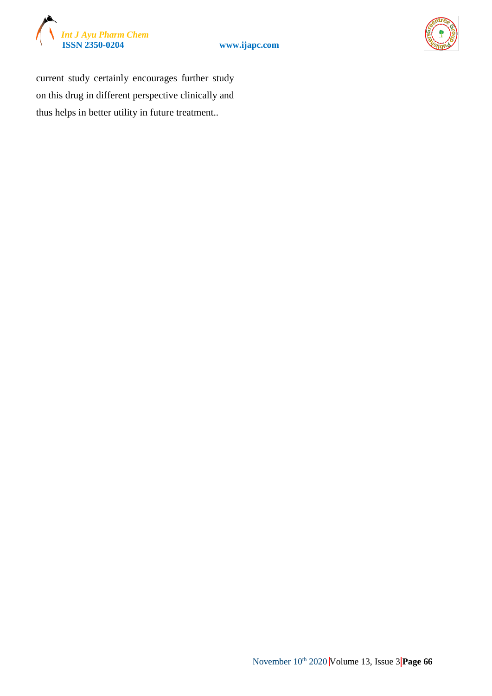





current study certainly encourages further study on this drug in different perspective clinically and thus helps in better utility in future treatment..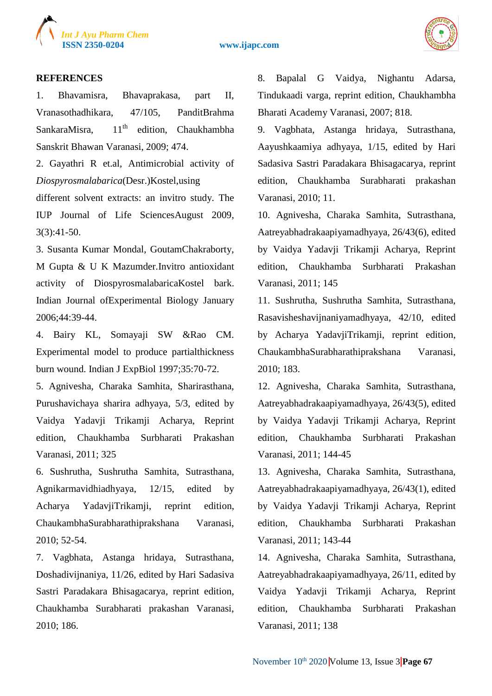

**ISSN 2350-0204 www.ijapc.com**



#### **REFERENCES**

1. Bhavamisra, Bhavaprakasa, part II, Vranasothadhikara, 47/105, PanditBrahma SankaraMisra, 11<sup>th</sup> edition, Chaukhambha Sanskrit Bhawan Varanasi, 2009; 474.

2. Gayathri R et.al, Antimicrobial activity of *Diospyrosmalabarica*(Desr.)Kostel,using

different solvent extracts: an invitro study. The IUP Journal of Life SciencesAugust 2009, 3(3):41-50.

3. Susanta Kumar Mondal, GoutamChakraborty, M Gupta & U K Mazumder.Invitro antioxidant activity of DiospyrosmalabaricaKostel bark. Indian Journal ofExperimental Biology January 2006;44:39-44.

4. Bairy KL, Somayaji SW &Rao CM. Experimental model to produce partialthickness burn wound. Indian J ExpBiol 1997;35:70-72.

5. Agnivesha, Charaka Samhita, Sharirasthana, Purushavichaya sharira adhyaya, 5/3, edited by Vaidya Yadavji Trikamji Acharya, Reprint edition, Chaukhamba Surbharati Prakashan Varanasi, 2011; 325

6. Sushrutha, Sushrutha Samhita, Sutrasthana, Agnikarmavidhiadhyaya, 12/15, edited by Acharya YadavjiTrikamji, reprint edition, ChaukambhaSurabharathiprakshana Varanasi, 2010; 52-54.

7. Vagbhata, Astanga hridaya, Sutrasthana, Doshadivijnaniya, 11/26, edited by Hari Sadasiva Sastri Paradakara Bhisagacarya, reprint edition, Chaukhamba Surabharati prakashan Varanasi, 2010; 186.

8. Bapalal G Vaidya, Nighantu Adarsa, Tindukaadi varga, reprint edition, Chaukhambha Bharati Academy Varanasi, 2007; 818.

9. Vagbhata, Astanga hridaya, Sutrasthana, Aayushkaamiya adhyaya, 1/15, edited by Hari Sadasiva Sastri Paradakara Bhisagacarya, reprint edition, Chaukhamba Surabharati prakashan Varanasi, 2010; 11.

10. Agnivesha, Charaka Samhita, Sutrasthana, Aatreyabhadrakaapiyamadhyaya, 26/43(6), edited by Vaidya Yadavji Trikamji Acharya, Reprint edition, Chaukhamba Surbharati Prakashan Varanasi, 2011; 145

11. Sushrutha, Sushrutha Samhita, Sutrasthana, Rasavisheshavijnaniyamadhyaya, 42/10, edited by Acharya YadavjiTrikamji, reprint edition, ChaukambhaSurabharathiprakshana Varanasi, 2010; 183.

12. Agnivesha, Charaka Samhita, Sutrasthana, Aatreyabhadrakaapiyamadhyaya, 26/43(5), edited by Vaidya Yadavji Trikamji Acharya, Reprint edition, Chaukhamba Surbharati Prakashan Varanasi, 2011; 144-45

13. Agnivesha, Charaka Samhita, Sutrasthana, Aatreyabhadrakaapiyamadhyaya, 26/43(1), edited by Vaidya Yadavji Trikamji Acharya, Reprint edition, Chaukhamba Surbharati Prakashan Varanasi, 2011; 143-44

14. Agnivesha, Charaka Samhita, Sutrasthana, Aatreyabhadrakaapiyamadhyaya, 26/11, edited by Vaidya Yadavji Trikamji Acharya, Reprint edition, Chaukhamba Surbharati Prakashan Varanasi, 2011; 138